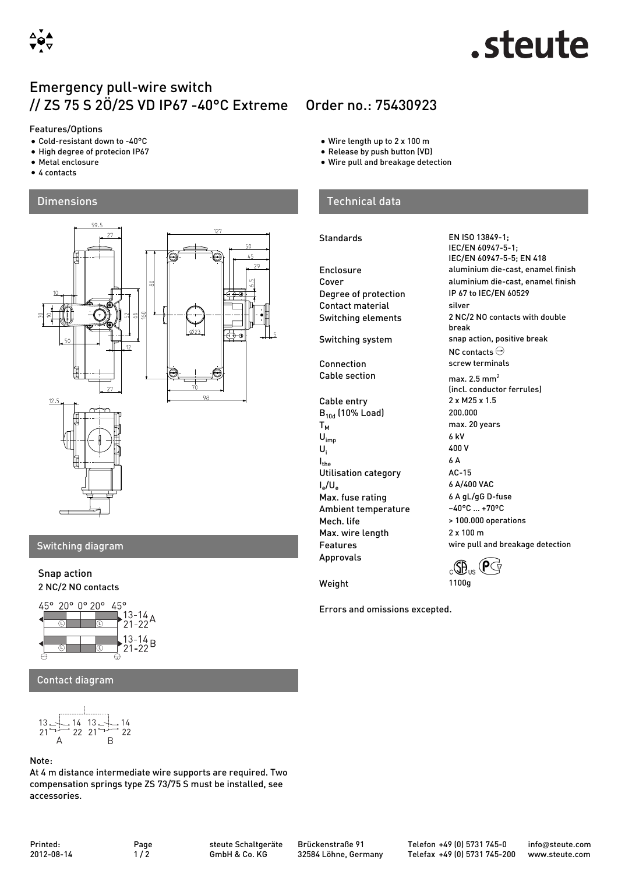

# steute.

# Emergency pull-wire switch // ZS 75 S 2Ö/2S VD IP67 -40°C Extreme Order no.: 75430923

#### Features/Options

- Cold-resistant down to -40°C
- High degree of protecion IP67
- Metal enclosure
- 4 contacts

### **Dimensions**



### Switching diagram

#### Snap action 2 NC/2 NO contacts



Contact diagram

$$
13 = 14
$$
  
  $21 = 14$   
  $22 = 21$   
  $22 = 21$   
  $22 = 21$ 

#### Note:

At 4 m distance intermediate wire supports are required. Two compensation springs type ZS 73/75 S must be installed, see accessories.

- Wire length up to 2 x 100 m
- Release by push button (VD)
- Wire pull and breakage detection

## Technical data

#### Standards EN ISO 13849-1;

Degree of protection Contact material silver Switching system snap action, positive break Connection screw terminals Cable section max.  $2.5 \text{ mm}^2$ Cable entry 2 x M25 x 1.5<br> $B_{10d}$  (10% Load) 200.000  $B_{10d}$  (10% Load)<br>T<sub>M</sub>  $U_{imp}$  $\overline{U_i}$  $I_{the}$  6 A Utilisation category MC-15  $I_e/U_e$ Max. fuse rating 6 A gL/gG D-fuse<br>Ambient temperature 40°C ... +70°C Ambient temperature Mech. life  $\rightarrow$  100.000 operations Max. wire length 2 x 100 m Features wire pull and breakage detection Approvals  $\alpha$ **G**<sub>e</sub>  $\bigoplus_{\alpha\in\mathbb{C}}\mathbb{P}$ <sub>us</sub>  $\bigoplus_{\alpha\in\mathbb{C}}\mathbb{P}$ 

Weight 1100g

Errors and omissions excepted.

IEC/EN 60947-5-1; IEC/EN 60947-5-5; EN 418 Enclosure aluminium die-cast, enamel finish Cover aluminium die-cast, enamel finish<br>
Degree of protection IP 67 to IEC/EN 60529 Switching elements 2 NC/2 NO contacts with double break NC contacts  $\ominus$ (incl. conductor ferrules) max. 20 years<br>6 kV 400 V 6 A/400 VAC

Printed: 2012-08-14

Brückenstraße 91 32584 Löhne, Germany Telefon +49 (0) 5731 745-0 Telefax +49 (0) 5731 745-200 info@steute.com www.steute.com